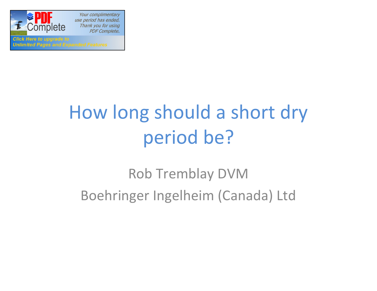

Your complimentary use period has ended. Thank you for using **PDF Complete.** 

**Click Here to upgrade to Unlimited Pages and Expanded Features** 

# How long should a short dry period be?

## Rob Tremblay DVM Boehringer Ingelheim (Canada) Ltd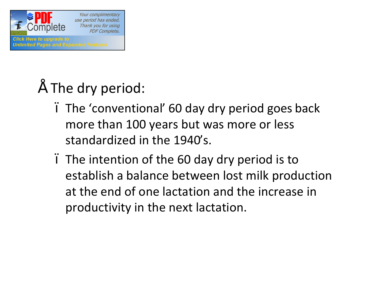

## • The dry period:

- The 'conventional' 60 day dry period goes back more than 100 years but was more or less standardized in the 1940's.
- The intention of the 60 day dry period is to establish a balance between lost milk production at the end of one lactation and the increase in productivity in the next lactation.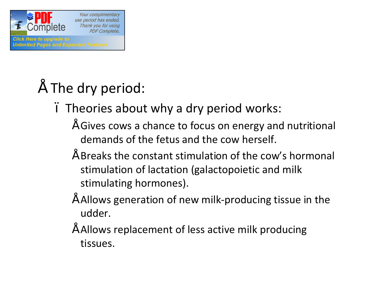

- $\tilde{ }$  The dry period:
	- Theories about why a dry period works:
		- Gives cows a chance to focus on energy and nutritional demands of the fetus and the cow herself.
		- Breaks the constant stimulation of the cow's hormonal stimulation of lactation (galactopoietic and milk stimulating hormones).
		- Allows generation of new milk-producing tissue in the udder.
		- Allows replacement of less active milk producing tissues.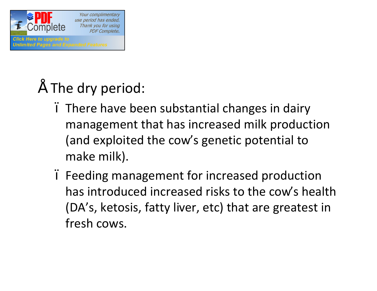

## The dry period:

- There have been substantial changes in dairy management that has increased milk production (and exploited the cow's genetic potential to make milk).
- Feeding management for increased production has introduced increased risks to the cow's health (DA's, ketosis, fatty liver, etc) that are greatest in fresh cows.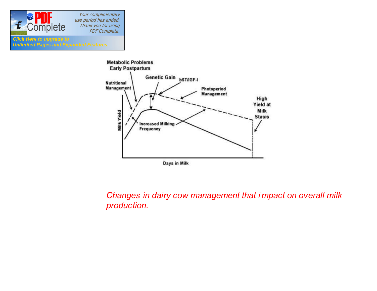

**Click Here to upgrade to** 

**Unlimited Pages and Expanded Features** 

Your complimentary use period has ended. Thank you for using PDF Complete.

#### **Metabolic Problems Early Postpartum** Genetic Gain bST/IGF-I **Nutritional Management** Photoperiod Management High Yield at Milk Milk Yield **Stasis Increased Milking**<br>Frequency Days in Milk

*Changes in dairy cow management that i mpact on overall milk production.*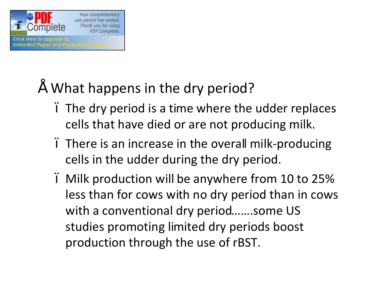

- What happens in the dry period?
	- The dry period is a time where the udder replaces cells that have died or are not producing milk.
	- There is an increase in the overall milk-producing cells in the udder during the dry period.
	- Milk production will be anywhere from 10 to 25% less than for cows with no dry period than in cows with a conventional dry period…….some US studies promoting limited dry periods boost production through the use of rBST.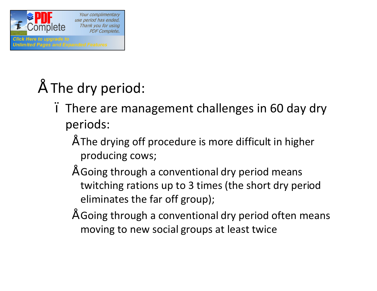

- The dry period:
	- There are management challenges in 60 day dry periods:
		- $\tilde{ }$  The drying off procedure is more difficult in higher producing cows;
		- Going through a conventional dry period means twitching rations up to 3 times (the short dry period eliminates the far off group);
		- Going through a conventional dry period often means moving to new social groups at least twice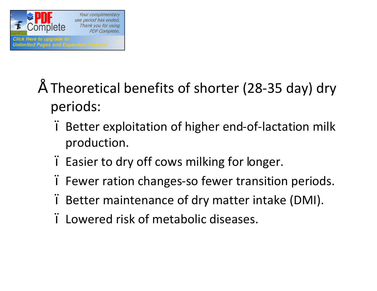

- Theoretical benefits of shorter (28-35 day) dry periods:
	- Better exploitation of higher end-of-lactation milk production.
	- Easier to dry off cows milking for longer.
	- Fewer ration changes-so fewer transition periods.
	- Better maintenance of dry matter intake (DMI).
	- Lowered risk of metabolic diseases.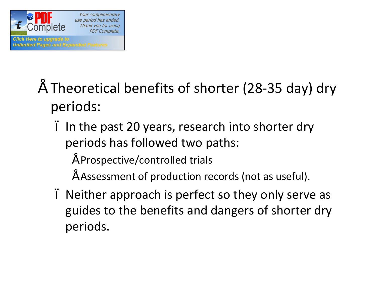

- Theoretical benefits of shorter (28-35 day) dry periods:
	- In the past 20 years, research into shorter dry periods has followed two paths:
		- Prospective/controlled trials
		- Assessment of production records (not as useful).
	- Neither approach is perfect so they only serve as guides to the benefits and dangers of shorter dry periods.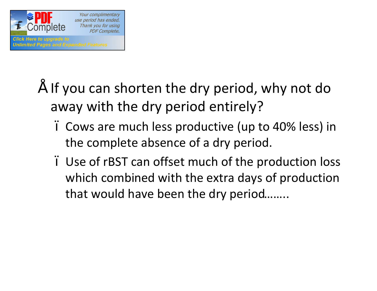

- If you can shorten the dry period, why not do away with the dry period entirely?
	- Cows are much less productive (up to 40% less) in the complete absence of a dry period.
	- Use of rBST can offset much of the production loss which combined with the extra days of production that would have been the dry period……..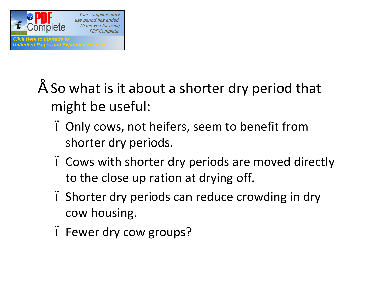

- So what is it about a shorter dry period that might be useful:
	- Only cows, not heifers, seem to benefit from shorter dry periods.
	- Cows with shorter dry periods are moved directly to the close up ration at drying off.
	- Shorter dry periods can reduce crowding in dry cow housing.
	- . Fewer dry cow groups?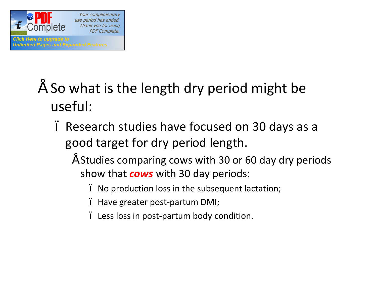

- So what is the length dry period might be useful:
	- Research studies have focused on 30 days as a good target for dry period length.
		- Studies comparing cows with 30 or 60 day dry periods show that *cows* with 30 day periods:
			- No production loss in the subsequent lactation;
			- . Have greater post-partum DMI;
			- Less loss in post-partum body condition.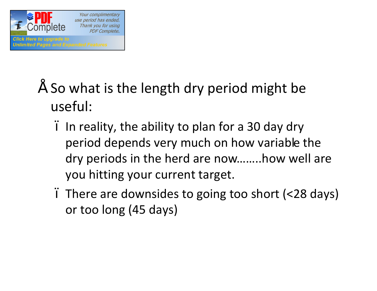

- So what is the length dry period might be useful:
	- In reality, the ability to plan for a 30 day dry period depends very much on how variable the dry periods in the herd are now……..how well are you hitting your current target.
	- There are downsides to going too short (<28 days) or too long (45 days)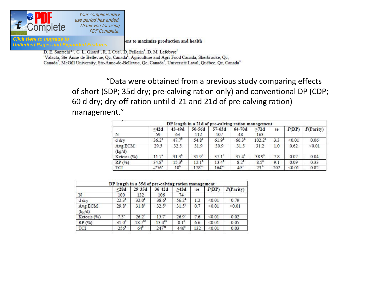

Click Here to uparad

**Unlimited Pages and** 

Your complimentary use period has ended. Thank you for using **PDF Complete.** 

ent to maximize production and health

D. E. Santschi\*', C. L. Girard', R. I. Cue', D. Pellerin<sup>4</sup>, D. M. Lefebvre<sup>1</sup>

Valacta, Ste-Anne-de-Bellevue, Qc, Canada<sup>1</sup>, Agriculture and Agri-Food Canada, Sherbrooke, Qc, Canada<sup>2</sup>, McGill University, Ste-Anne-de-Bellevue, Qc, Canada<sup>3</sup>, Université Laval, Québec, Qc, Canada<sup>4</sup>

> "Data were obtained from a previous study comparing effects of short (SDP; 35d dry; pre-calving ration only) and conventional DP (CDP; 60 d dry; dry-off ration until d-21 and 21d of pre-calving ration) management."

| DP length in a 21d of pre-calving ration management |                     |                 |                   |                   |                   |                 |     |        |           |  |  |  |  |
|-----------------------------------------------------|---------------------|-----------------|-------------------|-------------------|-------------------|-----------------|-----|--------|-----------|--|--|--|--|
|                                                     | $<$ 42d             | $43 - 49d$      | 50-56d            | $57-63d$          | $64 - 70d$        | >71d            | se. | P(DP)  | P(Parity) |  |  |  |  |
| N                                                   | 59                  | 63              | 112               | 107               | 48                | 163             |     |        |           |  |  |  |  |
| $d$ $drv$                                           | $36.2^{a}$          | $47.7^{\circ}$  | 54.8 <sup>c</sup> | 61.9 <sup>d</sup> | 66.3 <sup>d</sup> | $102.2^{\circ}$ | 3.3 | < 0.01 | 0.06      |  |  |  |  |
| Avg ECM<br>(kg/d)                                   | 29.5                | 32.5            | 31.9              | 30.9              | 31.5              | 31.2            | 1.0 | 0.62   | < 0.01    |  |  |  |  |
| Ketosis (%)                                         | 11.7 <sup>a</sup>   | $31.3^{\circ}$  | $31.9^{b}$        | $37.1^{\circ}$    | $35.4^{b}$        | $38.9^\circ$    | 7.8 | 0.07   | 0.04      |  |  |  |  |
| RP(%)                                               | $34.8^{b}$          | $15.3^*$        | 12.1 <sup>a</sup> | $13.4^*$          | $8.2^{a}$         | $8.5^{a}$       | 91  | 0.09   | 0.33      |  |  |  |  |
| TCI                                                 | $-756$ <sup>*</sup> | 10 <sup>6</sup> | $178^{bc}$        | $164^{bc}$        | 49 <sup>c</sup>   | $23^{\circ}$    | 202 | < 0.01 | 0.82      |  |  |  |  |

| DP length in a 35d of pre-calving ration management |                   |                |                   |                  |     |        |           |  |  |  |
|-----------------------------------------------------|-------------------|----------------|-------------------|------------------|-----|--------|-----------|--|--|--|
|                                                     | < 28d             | 29-35d         | $36-42d$          | >43d             | se  | P(DP)  | P(Parity) |  |  |  |
| N                                                   | 100               | 132            | 106               | 74               |     |        |           |  |  |  |
| d drv                                               | $22.3^{a}$        | $32.0^\circ$   | $38.6^\circ$      | $56.2^{d}$       | 12  | < 0.01 | 0.79      |  |  |  |
| Avg ECM<br>(kg/d)                                   | $29.8^{a}$        | $31.8^{b}$     | $32.5^{b}$        | $31.5^{b}$       | 0.7 | < 0.01 | < 0.01    |  |  |  |
| Ketosis $(%)$                                       | $7.3^{2}$         | $26.2^{\circ}$ | $15.7^{b}$        | $26.9^{b}$       | 7.6 | < 0.01 | 0.02      |  |  |  |
| RP(%)                                               | 31.0 <sup>c</sup> | $18.7^{bc}$    | $13.4^{ab}$       | 8.1 <sup>2</sup> | 6.6 | < 0.01 | 0.05      |  |  |  |
| <b>TCI</b>                                          | $-256^a$          | $64^{\circ}$   | 247 <sup>bc</sup> | 446°             | 132 | < 0.01 | 0.03      |  |  |  |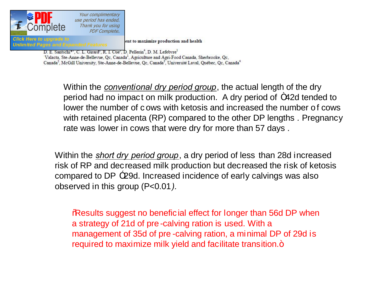

**Unlimited Pages and Expanded Features** 

Your complimentary use period has ended. Thank you for using **PDF Complete.** 

ent to maximize production and health

D. E. Santschi\*', C. L. Girard', R. I. Cue', D. Pellerin<sup>4</sup>, D. M. Lefebvre<sup>1</sup> Valacta, Ste-Anne-de-Bellevue, Qc, Canada<sup>1</sup>, Agriculture and Agri-Food Canada, Sherbrooke, Qc, Canada<sup>2</sup>, McGill University, Ste-Anne-de-Bellevue, Qc, Canada<sup>3</sup>, Université Laval, Québec, Qc, Canada<sup>4</sup>

> Within the *conventional dry period group*, the actual length of the dry period had no impact on milk production. A dry period of m42d tended to lower the number of c ows with ketosis and increased the number of cows with retained placenta (RP) compared to the other DP lengths *.* Pregnancy rate was lower in cows that were dry for more than 57 days .

Within the *short dry period group*, a dry period of less than 28d increased risk of RP and decreased milk production but decreased the risk of ketosis compared to DP<sup>-29d.</sup> Increased incidence of early calvings was also observed in this group (P<0.01*).* 

**Results suggest no beneficial effect for longer than 56d DP when** a strategy of 21d of pre -calving ration is used. With a management of 35d of pre -calving ration, a minimal DP of 29d is required to maximize milk yield and facilitate transition.+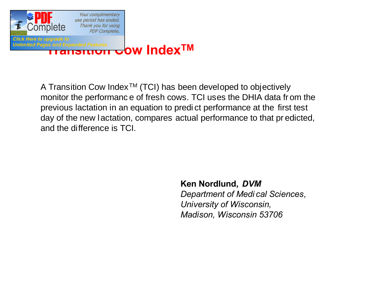

### Unlimited Pages and Expanded Features<br>**TRANSITION IN TRANSITY OW INDEX TM**

A Transition Cow Index<sup>TM</sup> (TCI) has been developed to objectively monitor the performanc e of fresh cows. TCI uses the DHIA data fr om the previous lactation in an equation to predi ct performance at the first test day of the new lactation, compares actual performance to that pr edicted, and the difference is TCI.

> **Ken Nordlund,** *DVM Department of Medi cal Sciences, University of Wisconsin, Madison, Wisconsin 53706*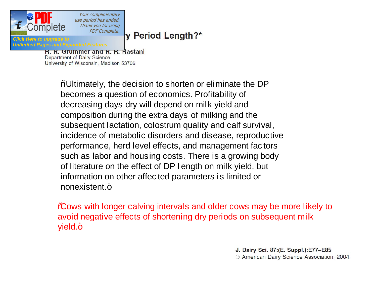

Your complimentary use period has ended. Thank you for using **PDF Complete.** 

#### y Period Length?\*

**Unlimited Pages and** 

K. K. Grummer and K. K. Rastani Department of Dairy Science University of Wisconsin, Madison 53706

> % Ultimately, the decision to shorten or eliminate the DP becomes a question of economics. Profitability of decreasing days dry will depend on milk yield and composition during the extra days of milking and the subsequent lactation, colostrum quality and calf survival, incidence of metabolic disorders and disease, reproductive performance, herd level effects, and management fac tors such as labor and housing costs. There is a growing body of literature on the effect of DP l ength on milk yield, but information on other affec ted parameters is limited or nonexistent.+

**%** Sows with longer calving intervals and older cows may be more likely to avoid negative effects of shortening dry periods on subsequent milk yield.+

> J. Dairy Sci. 87:(E. Suppl.):E77-E85 © American Dairy Science Association, 2004.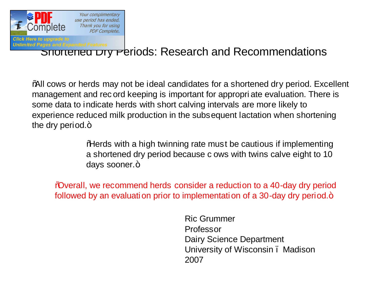

### Unlimited Pages and Expanded Features<br>SHOTTENED TY PETIODS: Research and Recommendations

"All cows or herds may not be ideal candidates for a shortened dry period. Excellent management and rec ord keeping is important for appropri ate evaluation. There is some data to indicate herds with short calving intervals are more likely to experience reduced milk production in the subsequent lactation when shortening the dry period. $+$ 

> "Herds with a high twinning rate must be cautious if implementing a shortened dry period because c ows with twins calve eight to 10 days sooner.+

"Overall, we recommend herds consider a reduction to a 40-day dry period followed by an evaluation prior to implementation of a 30-day dry period.+

> Ric Grummer Professor Dairy Science Department University of Wisconsin – Madison 2007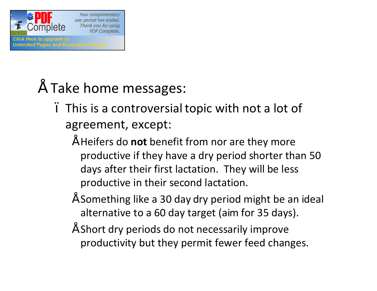

### • Take home messages:

- This is a controversial topic with not a lot of agreement, except:
	- Heifers do **not** benefit from nor are they more productive if they have a dry period shorter than 50 days after their first lactation. They will be less productive in their second lactation.
	- Something like a 30 day dry period might be an ideal alternative to a 60 day target (aim for 35 days).
	- Short dry periods do not necessarily improve productivity but they permit fewer feed changes.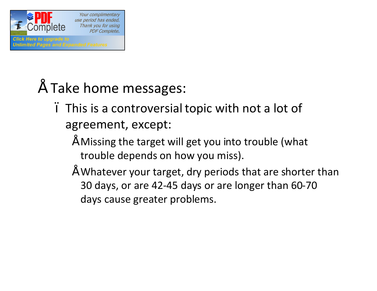

- Take home messages:
	- This is a controversial topic with not a lot of agreement, except:
		- Missing the target will get you into trouble (what trouble depends on how you miss).
		- Whatever your target, dry periods that are shorter than 30 days, or are 42-45 days or are longer than 60-70 days cause greater problems.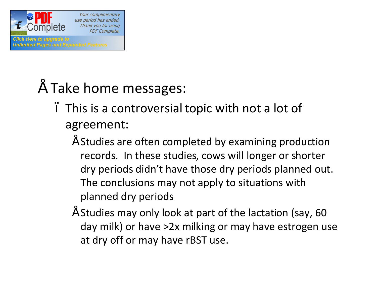

### • Take home messages:

- This is a controversial topic with not a lot of agreement:
	- Studies are often completed by examining production records. In these studies, cows will longer or shorter dry periods didn't have those dry periods planned out. The conclusions may not apply to situations with planned dry periods
	- Studies may only look at part of the lactation (say, 60 day milk) or have >2x milking or may have estrogen use at dry off or may have rBST use.